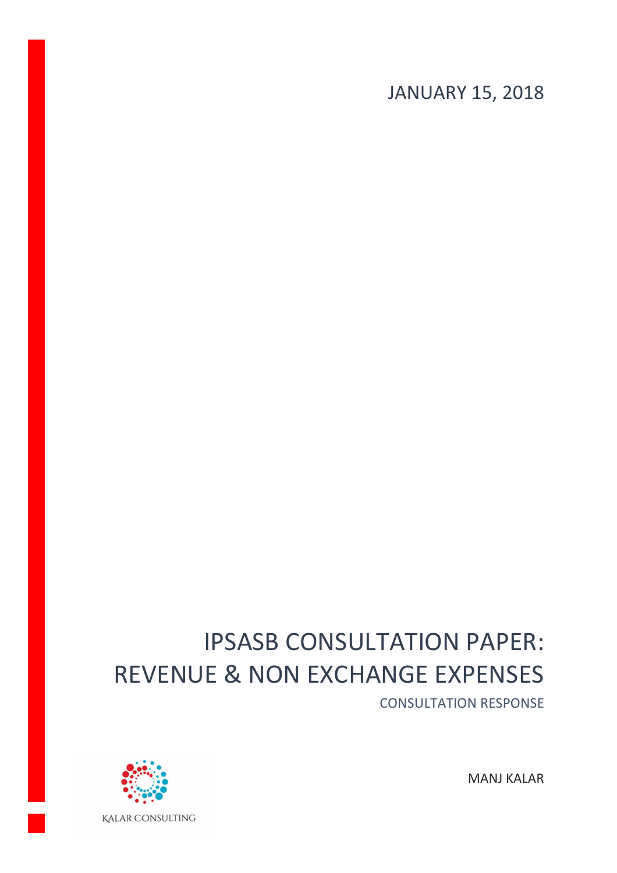JANUARY 15, 2018

# IPSASB CONSULTATION PAPER: REVENUE & NON EXCHANGE EXPENSES

CONSULTATION RESPONSE



MANJ KALAR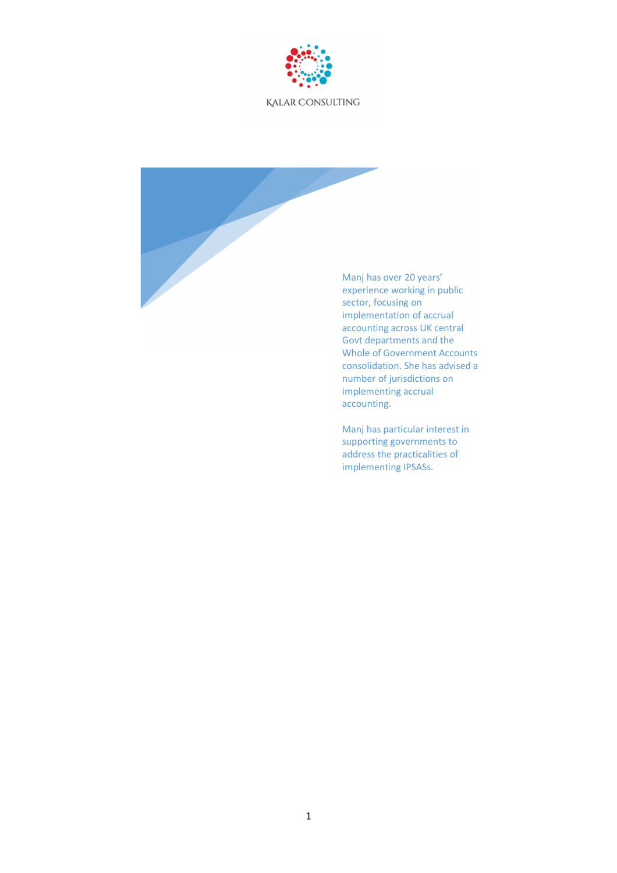

Manj has over 20 years' experience working in public sector, focusing on implementation of accrual accounting across UK central Govt departments and the Whole of Government Accounts consolidation. She has advised a number of jurisdictions on implementing accrual accounting.

Manj has particular interest in supporting governments to address the practicalities of implementing IPSASs.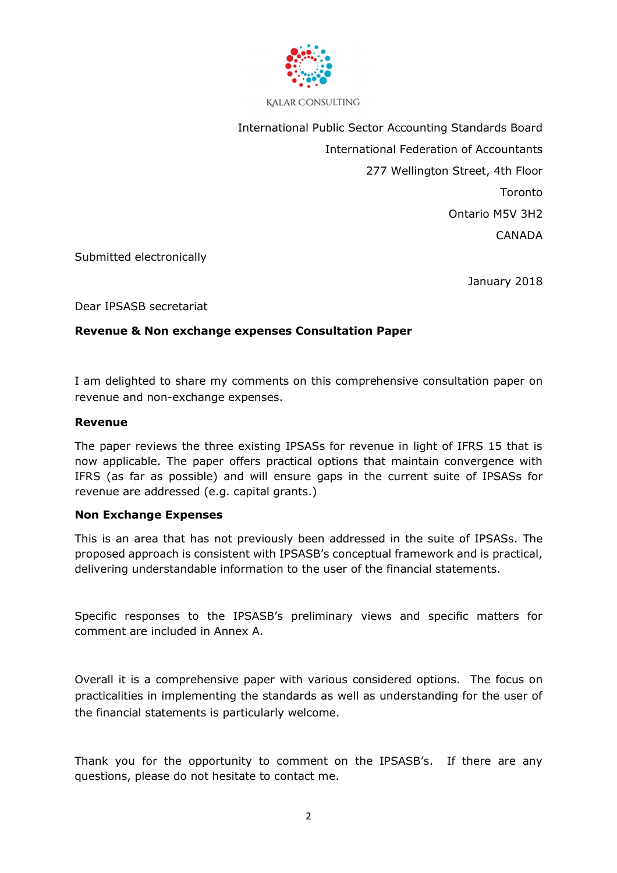

International Public Sector Accounting Standards Board International Federation of Accountants 277 Wellington Street, 4th Floor Toronto Ontario M5V 3H2 **CANADA** 

Submitted electronically

January 2018

Dear IPSASB secretariat

#### **Revenue & Non exchange expenses Consultation Paper**

I am delighted to share my comments on this comprehensive consultation paper on revenue and non-exchange expenses.

#### **Revenue**

The paper reviews the three existing IPSASs for revenue in light of IFRS 15 that is now applicable. The paper offers practical options that maintain convergence with IFRS (as far as possible) and will ensure gaps in the current suite of IPSASs for revenue are addressed (e.g. capital grants.)

#### **Non Exchange Expenses**

This is an area that has not previously been addressed in the suite of IPSASs. The proposed approach is consistent with IPSASB's conceptual framework and is practical, delivering understandable information to the user of the financial statements.

Specific responses to the IPSASB's preliminary views and specific matters for comment are included in Annex A.

Overall it is a comprehensive paper with various considered options. The focus on practicalities in implementing the standards as well as understanding for the user of the financial statements is particularly welcome.

Thank you for the opportunity to comment on the IPSASB's. If there are any questions, please do not hesitate to contact me.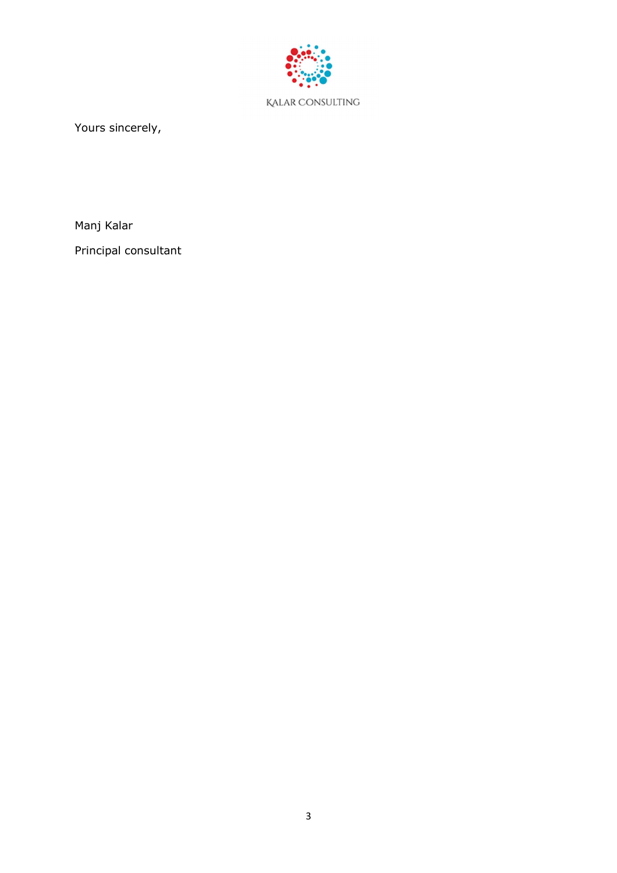

Yours sincerely,

Manj Kalar

Principal consultant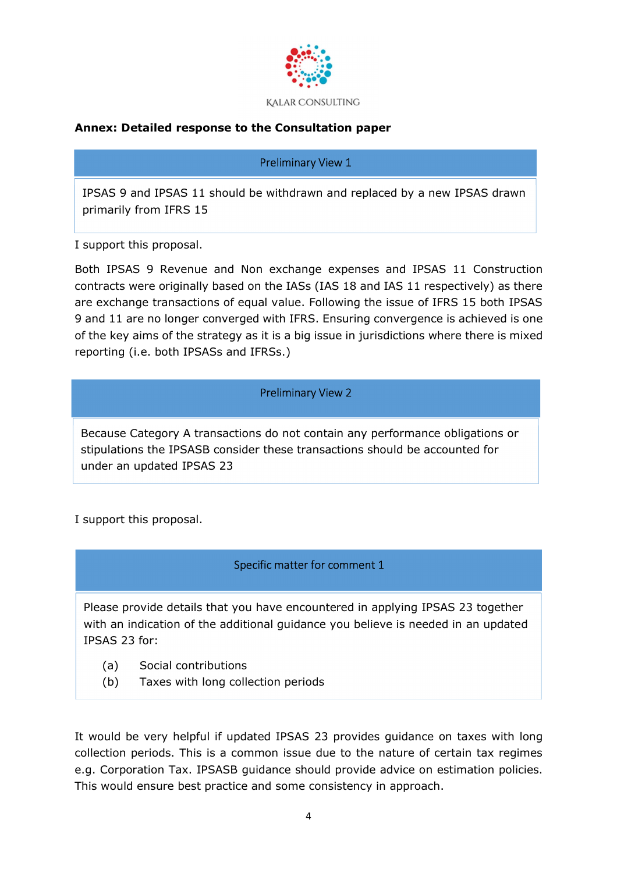

# **Annex: Detailed response to the Consultation paper**

#### Preliminary View 1

IPSAS 9 and IPSAS 11 should be withdrawn and replaced by a new IPSAS drawn primarily from IFRS 15

I support this proposal.

Both IPSAS 9 Revenue and Non exchange expenses and IPSAS 11 Construction contracts were originally based on the IASs (IAS 18 and IAS 11 respectively) as there are exchange transactions of equal value. Following the issue of IFRS 15 both IPSAS 9 and 11 are no longer converged with IFRS. Ensuring convergence is achieved is one of the key aims of the strategy as it is a big issue in jurisdictions where there is mixed reporting (i.e. both IPSASs and IFRSs.)

#### Preliminary View 2

Because Category A transactions do not contain any performance obligations or stipulations the IPSASB consider these transactions should be accounted for under an updated IPSAS 23

I support this proposal.

# Specific matter for comment 1

Please provide details that you have encountered in applying IPSAS 23 together with an indication of the additional guidance you believe is needed in an updated IPSAS 23 for:

- (a) Social contributions
- (b) Taxes with long collection periods

It would be very helpful if updated IPSAS 23 provides guidance on taxes with long collection periods. This is a common issue due to the nature of certain tax regimes e.g. Corporation Tax. IPSASB guidance should provide advice on estimation policies. This would ensure best practice and some consistency in approach.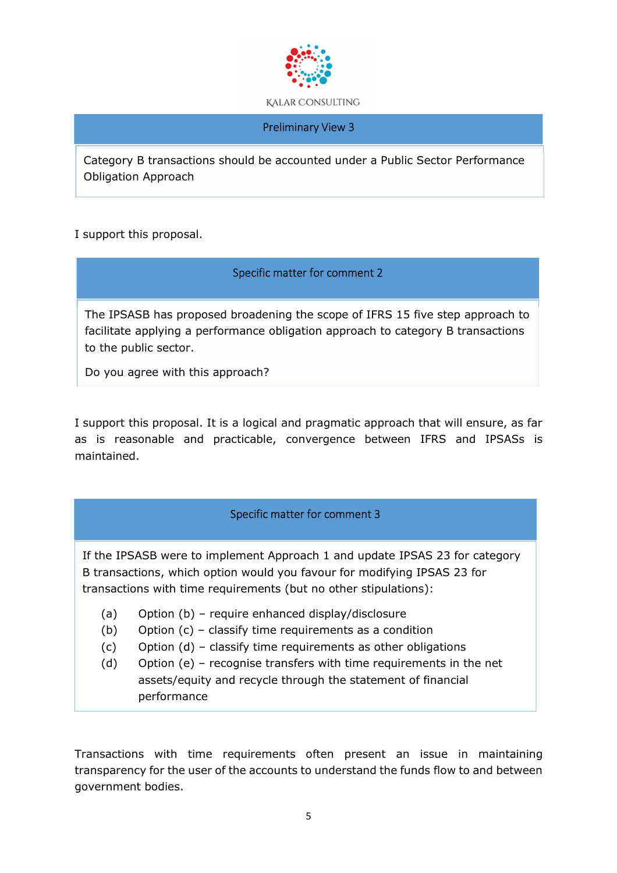

#### Preliminary View 3

Category B transactions should be accounted under a Public Sector Performance Obligation Approach

I support this proposal.

# Specific matter for comment 2

The IPSASB has proposed broadening the scope of IFRS 15 five step approach to facilitate applying a performance obligation approach to category B transactions to the public sector.

Do you agree with this approach?

I support this proposal. It is a logical and pragmatic approach that will ensure, as far as is reasonable and practicable, convergence between IFRS and IPSASs is maintained.

# Specific matter for comment 3

If the IPSASB were to implement Approach 1 and update IPSAS 23 for category B transactions, which option would you favour for modifying IPSAS 23 for transactions with time requirements (but no other stipulations):

- (a) Option (b) require enhanced display/disclosure
- (b) Option (c) classify time requirements as a condition
- (c) Option (d) classify time requirements as other obligations
- (d) Option (e) recognise transfers with time requirements in the net assets/equity and recycle through the statement of financial performance

Transactions with time requirements often present an issue in maintaining transparency for the user of the accounts to understand the funds flow to and between government bodies.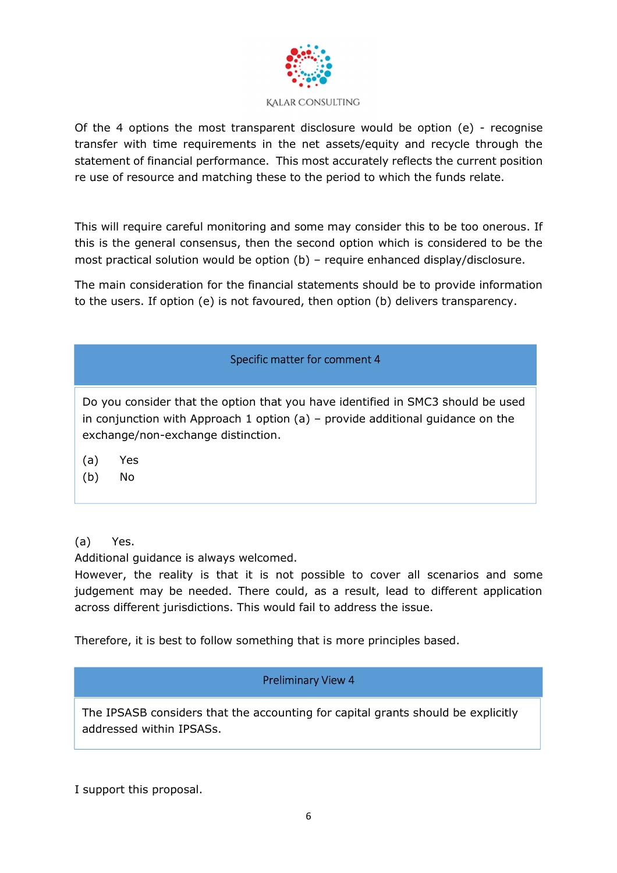

Of the 4 options the most transparent disclosure would be option  $(e)$  - recognise transfer with time requirements in the net assets/equity and recycle through the statement of financial performance. This most accurately reflects the current position re use of resource and matching these to the period to which the funds relate.

This will require careful monitoring and some may consider this to be too onerous. If this is the general consensus, then the second option which is considered to be the most practical solution would be option (b) – require enhanced display/disclosure.

The main consideration for the financial statements should be to provide information to the users. If option (e) is not favoured, then option (b) delivers transparency.

# Specific matter for comment 4

Do you consider that the option that you have identified in SMC3 should be used in conjunction with Approach 1 option (a) – provide additional guidance on the exchange/non-exchange distinction.

- (a) Yes
- (b) No

# (a) Yes.

Additional guidance is always welcomed.

However, the reality is that it is not possible to cover all scenarios and some judgement may be needed. There could, as a result, lead to different application across different jurisdictions. This would fail to address the issue.

Therefore, it is best to follow something that is more principles based.

# Preliminary View 4

The IPSASB considers that the accounting for capital grants should be explicitly addressed within IPSASs.

I support this proposal.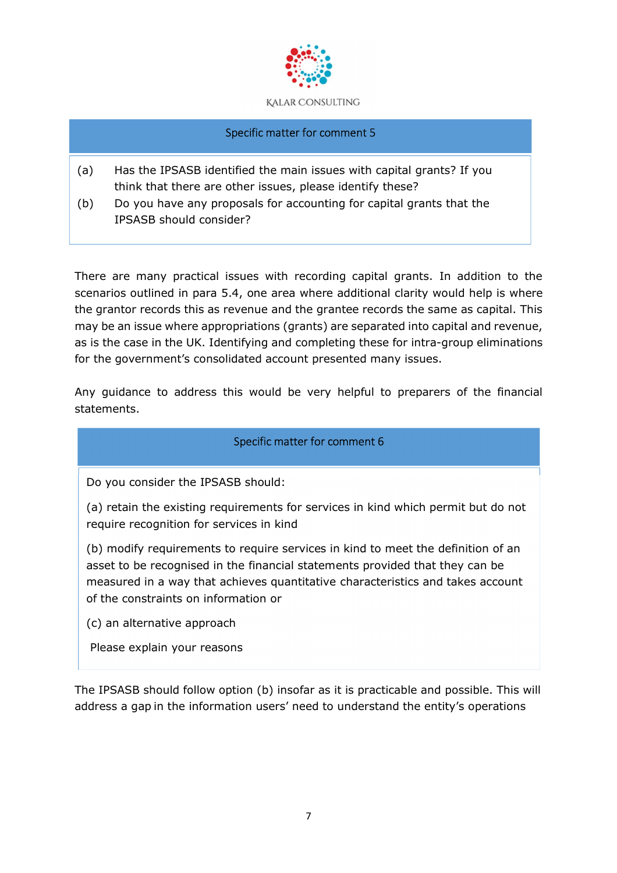

#### Specific matter for comment 5

- (a) Has the IPSASB identified the main issues with capital grants? If you think that there are other issues, please identify these?
- (b) Do you have any proposals for accounting for capital grants that the IPSASB should consider?

There are many practical issues with recording capital grants. In addition to the scenarios outlined in para 5.4, one area where additional clarity would help is where the grantor records this as revenue and the grantee records the same as capital. This may be an issue where appropriations (grants) are separated into capital and revenue, as is the case in the UK. Identifying and completing these for intra-group eliminations for the government's consolidated account presented many issues.

Any guidance to address this would be very helpful to preparers of the financial statements.

# Specific matter for comment 6

Do you consider the IPSASB should:

(a) retain the existing requirements for services in kind which permit but do not require recognition for services in kind

(b) modify requirements to require services in kind to meet the definition of an asset to be recognised in the financial statements provided that they can be measured in a way that achieves quantitative characteristics and takes account of the constraints on information or

(c) an alternative approach

Please explain your reasons

The IPSASB should follow option (b) insofar as it is practicable and possible. This will address a gap in the information users' need to understand the entity's operations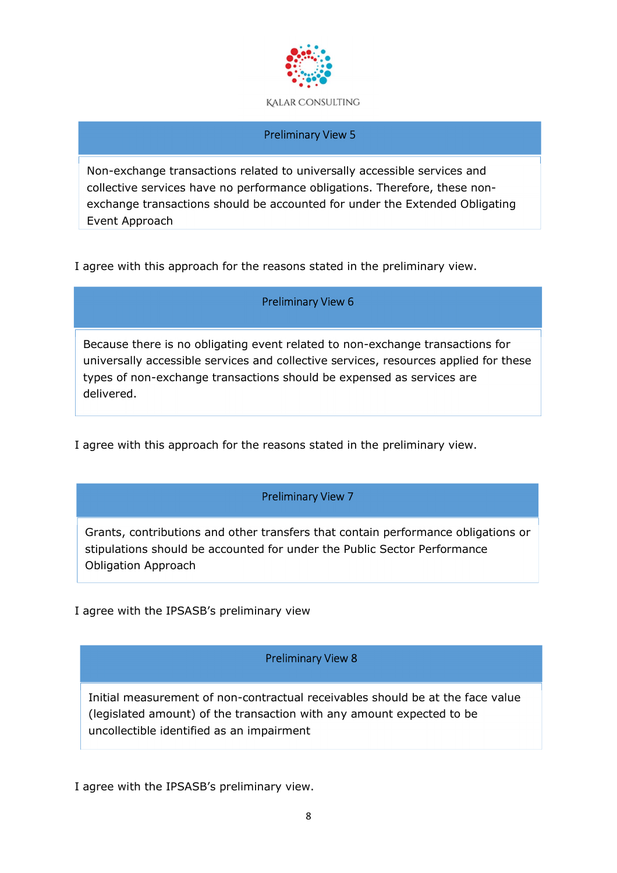

#### Preliminary View 5

Non-exchange transactions related to universally accessible services and collective services have no performance obligations. Therefore, these nonexchange transactions should be accounted for under the Extended Obligating Event Approach

I agree with this approach for the reasons stated in the preliminary view.

#### Preliminary View 6

Because there is no obligating event related to non-exchange transactions for universally accessible services and collective services, resources applied for these types of non-exchange transactions should be expensed as services are delivered.

I agree with this approach for the reasons stated in the preliminary view.

#### Preliminary View 7

Grants, contributions and other transfers that contain performance obligations or stipulations should be accounted for under the Public Sector Performance Obligation Approach

I agree with the IPSASB's preliminary view

# Preliminary View 8

Initial measurement of non-contractual receivables should be at the face value (legislated amount) of the transaction with any amount expected to be uncollectible identified as an impairment

I agree with the IPSASB's preliminary view.